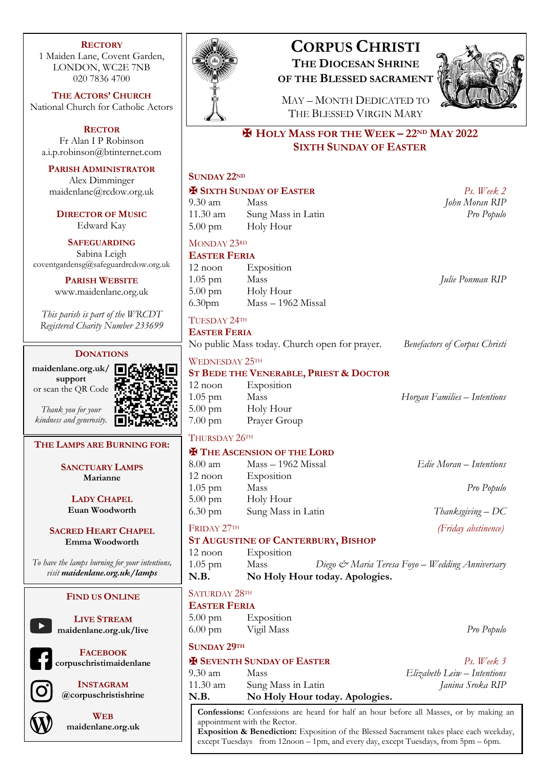### **RECTORY**

1 Maiden Lane, Covent Garden, LONDON, WC2E 7NB 020 7836 4700

**THE ACTORS' CHURCH** National Church for Catholic Actors

**RECTOR** Fr Alan I P Robinson a.i.p.robinson@btinternet.com

### **PARISH ADMINISTRATOR**

Alex Dimminger maidenlane@rcdow.org.uk

**DIRECTOR OF MUSIC** Edward Kay

### **SAFEGUARDING**

Sabina Leigh coventgardensg@safeguardrcdow.org.uk

> **PARISH WEBSITE** www.maidenlane.org.uk

*This parish is part of the WRCDT Registered Charity Number 233699*

### **DONATIONS**

**maidenlane.org.uk/ support** or scan the QR Code

*Thank you for your* 

*kindness and generosity.*

### **THE LAMPS ARE BURNING FOR:**

**SANCTUARY LAMPS Marianne**

**LADY CHAPEL Euan Woodworth**

### **SACRED HEART CHAPEL Emma Woodworth**

*To have the lamps burning for your intentions, visit maidenlane.org.uk/lamps*

### **FIND US ONLINE**



**LIVE STREAM maidenlane.org.uk/live**

**FACEBOOK corpuschristimaidenlane**



**INSTAGRAM @corpuschristishrine**



**WEB maidenlane.org.uk**



# **CORPUS CHRISTI THE DIOCESAN SHRINE OF THE BLESSED SACRAMENT**



MAY – MONTH DEDICATED TO THE BLESSED VIRGIN MARY

## ✠ **HOLY MASS FOR THE WEEK – 22ND MAY 2022 SIXTH SUNDAY OF EASTER**

|                                    | <b>SUNDAY 22ND</b>                                                                                                     |                                               |                                                 |
|------------------------------------|------------------------------------------------------------------------------------------------------------------------|-----------------------------------------------|-------------------------------------------------|
|                                    | <b>E SIXTH SUNDAY OF EASTER</b>                                                                                        |                                               | $Ps.$ Week 2                                    |
|                                    | $9.30 \text{ am}$                                                                                                      | Mass                                          | John Moran RIP                                  |
|                                    | 11.30 am                                                                                                               | Sung Mass in Latin                            | Pro Populo                                      |
|                                    | $5.00 \text{ pm}$                                                                                                      | Holy Hour                                     |                                                 |
|                                    | MONDAY 23RD                                                                                                            |                                               |                                                 |
|                                    | <b>EASTER FERIA</b>                                                                                                    |                                               |                                                 |
|                                    | $12$ noon                                                                                                              | Exposition                                    |                                                 |
|                                    | $1.05$ pm                                                                                                              | Mass                                          | Julie Ponman RIP                                |
|                                    |                                                                                                                        | 5.00 pm Holy Hour                             |                                                 |
|                                    | $6.30$ pm                                                                                                              | Mass - 1962 Missal                            |                                                 |
|                                    | TUESDAY 24TH                                                                                                           |                                               |                                                 |
|                                    | <b>EASTER FERIA</b>                                                                                                    |                                               |                                                 |
|                                    |                                                                                                                        | No public Mass today. Church open for prayer. | <b>Benefactors of Corpus Christi</b>            |
|                                    | WEDNESDAY 25TH                                                                                                         |                                               |                                                 |
| ロンミン                               | <b>ST BEDE THE VENERABLE, PRIEST &amp; DOCTOR</b>                                                                      |                                               |                                                 |
|                                    | $12$ noon                                                                                                              | Exposition                                    |                                                 |
|                                    | $1.05$ pm                                                                                                              | Mass                                          | Horgan Families - Intentions                    |
|                                    | $5.00 \text{ pm}$                                                                                                      | Holy Hour                                     |                                                 |
|                                    | $7.00 \text{ pm}$                                                                                                      | Prayer Group                                  |                                                 |
|                                    | THURSDAY 26TH                                                                                                          |                                               |                                                 |
| <b>X</b> THE ASCENSION OF THE LORD |                                                                                                                        |                                               |                                                 |
|                                    | 8.00 am                                                                                                                | Mass - 1962 Missal                            | Edie Moran - Intentions                         |
|                                    | $12$ noon                                                                                                              | Exposition                                    |                                                 |
|                                    | $1.05$ pm                                                                                                              | Mass                                          | Pro Populo                                      |
|                                    | $5.00 \text{ pm}$                                                                                                      | Holy Hour                                     |                                                 |
|                                    | $6.30 \text{ pm}$                                                                                                      | Sung Mass in Latin                            | Thanksgiving $-DC$                              |
|                                    |                                                                                                                        | FRIDAY 27TH<br>(Friday abstinence)            |                                                 |
|                                    |                                                                                                                        | <b>ST AUGUSTINE OF CANTERBURY, BISHOP</b>     |                                                 |
|                                    | $12$ noon                                                                                                              | Exposition                                    |                                                 |
|                                    | $1.05$ pm                                                                                                              | Mass                                          | Diego & Maria Teresa Foyo – Wedding Anniversary |
|                                    | N.B.                                                                                                                   | No Holy Hour today. Apologies.                |                                                 |
|                                    | SATURDAY 28TH                                                                                                          |                                               |                                                 |
| <b>EASTER FERIA</b>                |                                                                                                                        |                                               |                                                 |
|                                    | $5.00 \text{ pm}$                                                                                                      | Exposition                                    |                                                 |
|                                    | $6.00 \text{ pm}$                                                                                                      | Vigil Mass                                    | Pro Populo                                      |
| <b>SUNDAY 29TH</b>                 |                                                                                                                        |                                               |                                                 |
|                                    | <b>X SEVENTH SUNDAY OF EASTER</b>                                                                                      |                                               | $Ps.$ Week $3$                                  |
|                                    | $9.30$ am                                                                                                              | Mass                                          | Elizabeth Leiw – Intentions                     |
|                                    | 11.30 am                                                                                                               | Sung Mass in Latin                            | Janina Sroka RIP                                |
|                                    | N.B.                                                                                                                   | No Holy Hour today. Apologies.                |                                                 |
|                                    | Confessions: Confessions are heard for half an hour before all Masses, or by making an<br>appointment with the Rector. |                                               |                                                 |

**Exposition & Benediction:** Exposition of the Blessed Sacrament takes place each weekday, except Tuesdays from 12noon – 1pm, and every day, except Tuesdays, from 5pm – 6pm.